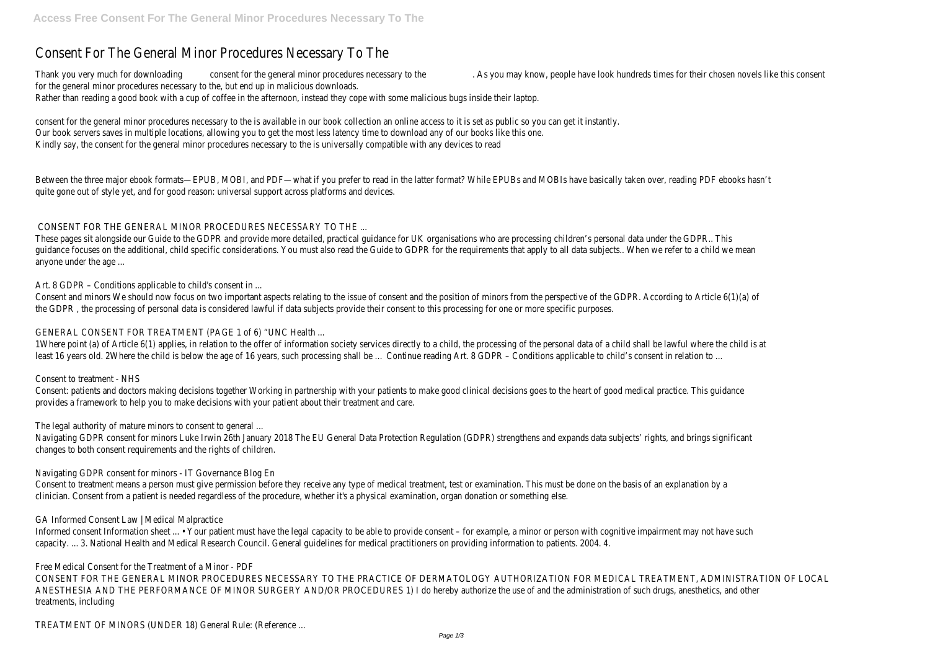# Consent For The General Minor Procedures Necessary To The

Thank you very much for downloading consent for the general minor procedures necessary to the . As you may know, people have look hundreds times for their chosen novels like this consent for the general minor procedures necessary to the, but end up in malicious downloads. Rather than reading a good book with a cup of coffee in the afternoon, instead they cope with some malicious bugs inside their laptop.

consent for the general minor procedures necessary to the is available in our book collection an online access to it is set as public so you can get it instantly. Our book servers saves in multiple locations, allowing you to get the most less latency time to download any of our books like this one. Kindly say, the consent for the general minor procedures necessary to the is universally compatible with any devices to read

Between the three major ebook formats—EPUB, MOBI, and PDF—what if you prefer to read in the latter format? While EPUBs and MOBIs have basically taken over, reading PDF ebooks hasn't quite gone out of style yet, and for good reason: universal support across platforms and devices.

# CONSENT FOR THE GENERAL MINOR PROCEDURES NECESSARY TO THE ...

Consent: patients and doctors making decisions together Working in partnership with your patients to make good clinical decisions goes to the heart of good medical practice. This guidance provides a framework to help you to make decisions with your patient about their treatment and care.

These pages sit alongside our Guide to the GDPR and provide more detailed, practical guidance for UK organisations who are processing children's personal data under the GDPR.. This guidance focuses on the additional, child specific considerations. You must also read the Guide to GDPR for the requirements that apply to all data subjects.. When we refer to a child we mean anyone under the age ...

Art. 8 GDPR – Conditions applicable to child's consent in ...

Consent and minors We should now focus on two important aspects relating to the issue of consent and the position of minors from the perspective of the GDPR. According to Article 6(1)(a) of the GDPR , the processing of personal data is considered lawful if data subjects provide their consent to this processing for one or more specific purposes.

Informed consent Information sheet ... • Your patient must have the legal capacity to be able to provide consent – for example, a minor or person with cognitive impairment may not have such capacity. ... 3. National Health and Medical Research Council. General guidelines for medical practitioners on providing information to patients. 2004. 4.

# GENERAL CONSENT FOR TREATMENT (PAGE 1 of 6) "UNC Health ...

1Where point (a) of Article 6(1) applies, in relation to the offer of information society services directly to a child, the processing of the personal data of a child shall be lawful where the child is at least 16 years old. 2Where the child is below the age of 16 years, such processing shall be ... Continue reading Art. 8 GDPR – Conditions applicable to child's consent in relation to ...

Consent to treatment - NHS

The legal authority of mature minors to consent to general ...

Navigating GDPR consent for minors Luke Irwin 26th January 2018 The EU General Data Protection Regulation (GDPR) strengthens and expands data subjects' rights, and brings significant changes to both consent requirements and the rights of children.

# Navigating GDPR consent for minors - IT Governance Blog En

Consent to treatment means a person must give permission before they receive any type of medical treatment, test or examination. This must be done on the basis of an explanation by a clinician. Consent from a patient is needed regardless of the procedure, whether it's a physical examination, organ donation or something else.

# GA Informed Consent Law | Medical Malpractice

Free Medical Consent for the Treatment of a Minor - PDF

CONSENT FOR THE GENERAL MINOR PROCEDURES NECESSARY TO THE PRACTICE OF DERMATOLOGY AUTHORIZATION FOR MEDICAL TREATMENT, ADMINISTRATION OF LOCAL ANESTHESIA AND THE PERFORMANCE OF MINOR SURGERY AND/OR PROCEDURES 1) I do hereby authorize the use of and the administration of such drugs, anesthetics, and other treatments, including

TREATMENT OF MINORS (UNDER 18) General Rule: (Reference ...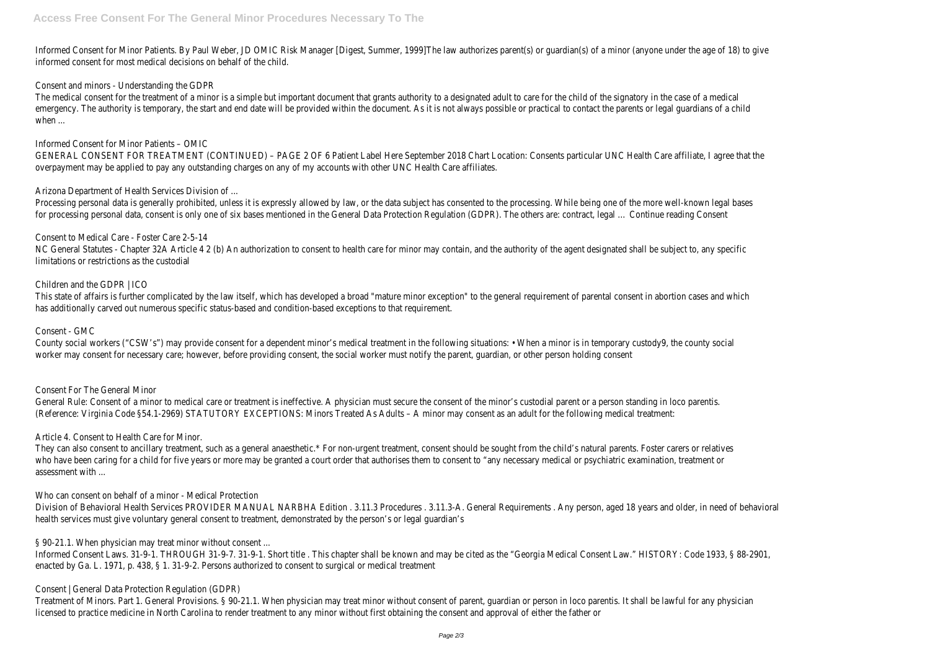The medical consent for the treatment of a minor is a simple but important document that grants authority to a designated adult to care for the child of the signatory in the case of a medical emergency. The authority is temporary, the start and end date will be provided within the document. As it is not always possible or practical to contact the parents or legal guardians of a child when ...

Informed Consent for Minor Patients. By Paul Weber, JD OMIC Risk Manager [Digest, Summer, 1999]The law authorizes parent(s) or guardian(s) of a minor (anyone under the age of 18) to give informed consent for most medical decisions on behalf of the child.

Consent and minors - Understanding the GDPR

Processing personal data is generally prohibited, unless it is expressly allowed by law, or the data subject has consented to the processing. While being one of the more well-known legal bases for processing personal data, consent is only one of six bases mentioned in the General Data Protection Regulation (GDPR). The others are: contract, legal … Continue reading Consent

Informed Consent for Minor Patients – OMIC

GENERAL CONSENT FOR TREATMENT (CONTINUED) – PAGE 2 OF 6 Patient Label Here September 2018 Chart Location: Consents particular UNC Health Care affiliate, I agree that the overpayment may be applied to pay any outstanding charges on any of my accounts with other UNC Health Care affiliates.

Arizona Department of Health Services Division of ...

County social workers ("CSW's") may provide consent for a dependent minor's medical treatment in the following situations: • When a minor is in temporary custody9, the county social worker may consent for necessary care; however, before providing consent, the social worker must notify the parent, guardian, or other person holding consent

General Rule: Consent of a minor to medical care or treatment is ineffective. A physician must secure the consent of the minor's custodial parent or a person standing in loco parentis. (Reference: Virginia Code §54.1-2969) STATUTORY EXCEPTIONS: Minors Treated As Adults – A minor may consent as an adult for the following medical treatment:

Consent to Medical Care - Foster Care 2-5-14 NC General Statutes - Chapter 32A Article 4 2 (b) An authorization to consent to health care for minor may contain, and the authority of the agent designated shall be subject to, any specific limitations or restrictions as the custodial

### Children and the GDPR | ICO

This state of affairs is further complicated by the law itself, which has developed a broad "mature minor exception" to the general requirement of parental consent in abortion cases and which has additionally carved out numerous specific status-based and condition-based exceptions to that requirement.

Informed Consent Laws. 31-9-1. THROUGH 31-9-7. 31-9-1. Short title. This chapter shall be known and may be cited as the "Georgia Medical Consent Law." HISTORY: Code 1933, § 88-2901, enacted by Ga. L. 1971, p. 438, § 1. 31-9-2. Persons authorized to consent to surgical or medical treatment

### Consent - GMC

Consent For The General Minor

Article 4. Consent to Health Care for Minor.

They can also consent to ancillary treatment, such as a general anaesthetic.\* For non-urgent treatment, consent should be sought from the child's natural parents. Foster carers or relatives who have been caring for a child for five years or more may be granted a court order that authorises them to consent to "any necessary medical or psychiatric examination, treatment or assessment with ...

Who can consent on behalf of a minor - Medical Protection

Division of Behavioral Health Services PROVIDER MANUAL NARBHA Edition . 3.11.3 Procedures . 3.11.3-A. General Requirements . Any person, aged 18 years and older, in need of behavioral health services must give voluntary general consent to treatment, demonstrated by the person's or legal guardian's

§ 90-21.1. When physician may treat minor without consent ...

Consent | General Data Protection Regulation (GDPR)

Treatment of Minors. Part 1. General Provisions. § 90-21.1. When physician may treat minor without consent of parent, guardian or person in loco parentis. It shall be lawful for any physician licensed to practice medicine in North Carolina to render treatment to any minor without first obtaining the consent and approval of either the father or